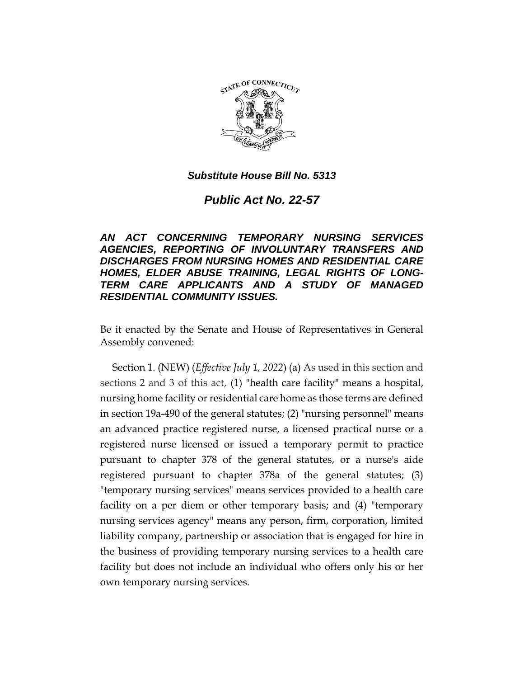

*Public Act No. 22-57*

*AN ACT CONCERNING TEMPORARY NURSING SERVICES AGENCIES, REPORTING OF INVOLUNTARY TRANSFERS AND DISCHARGES FROM NURSING HOMES AND RESIDENTIAL CARE HOMES, ELDER ABUSE TRAINING, LEGAL RIGHTS OF LONG-TERM CARE APPLICANTS AND A STUDY OF MANAGED RESIDENTIAL COMMUNITY ISSUES.*

Be it enacted by the Senate and House of Representatives in General Assembly convened:

Section 1. (NEW) (*Effective July 1, 2022*) (a) As used in this section and sections 2 and 3 of this act, (1) "health care facility" means a hospital, nursing home facility or residential care home as those terms are defined in section 19a-490 of the general statutes; (2) "nursing personnel" means an advanced practice registered nurse, a licensed practical nurse or a registered nurse licensed or issued a temporary permit to practice pursuant to chapter 378 of the general statutes, or a nurse's aide registered pursuant to chapter 378a of the general statutes; (3) "temporary nursing services" means services provided to a health care facility on a per diem or other temporary basis; and (4) "temporary nursing services agency" means any person, firm, corporation, limited liability company, partnership or association that is engaged for hire in the business of providing temporary nursing services to a health care facility but does not include an individual who offers only his or her own temporary nursing services.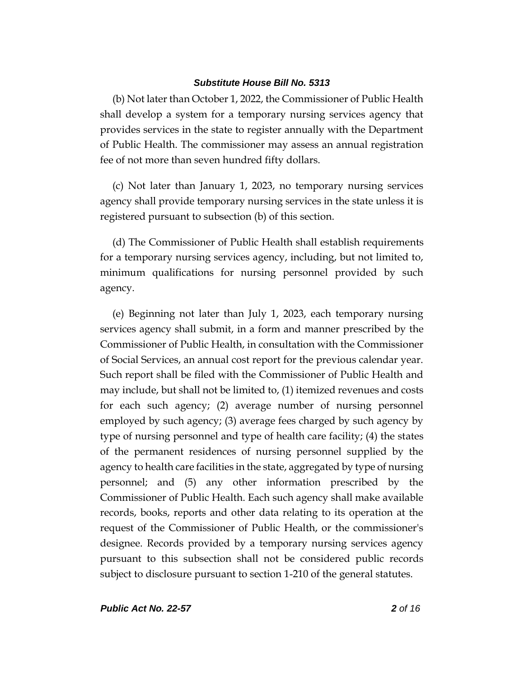(b) Not later than October 1, 2022, the Commissioner of Public Health shall develop a system for a temporary nursing services agency that provides services in the state to register annually with the Department of Public Health. The commissioner may assess an annual registration fee of not more than seven hundred fifty dollars.

(c) Not later than January 1, 2023, no temporary nursing services agency shall provide temporary nursing services in the state unless it is registered pursuant to subsection (b) of this section.

(d) The Commissioner of Public Health shall establish requirements for a temporary nursing services agency, including, but not limited to, minimum qualifications for nursing personnel provided by such agency.

(e) Beginning not later than July 1, 2023, each temporary nursing services agency shall submit, in a form and manner prescribed by the Commissioner of Public Health, in consultation with the Commissioner of Social Services, an annual cost report for the previous calendar year. Such report shall be filed with the Commissioner of Public Health and may include, but shall not be limited to, (1) itemized revenues and costs for each such agency; (2) average number of nursing personnel employed by such agency; (3) average fees charged by such agency by type of nursing personnel and type of health care facility; (4) the states of the permanent residences of nursing personnel supplied by the agency to health care facilities in the state, aggregated by type of nursing personnel; and (5) any other information prescribed by the Commissioner of Public Health. Each such agency shall make available records, books, reports and other data relating to its operation at the request of the Commissioner of Public Health, or the commissioner's designee. Records provided by a temporary nursing services agency pursuant to this subsection shall not be considered public records subject to disclosure pursuant to section 1-210 of the general statutes.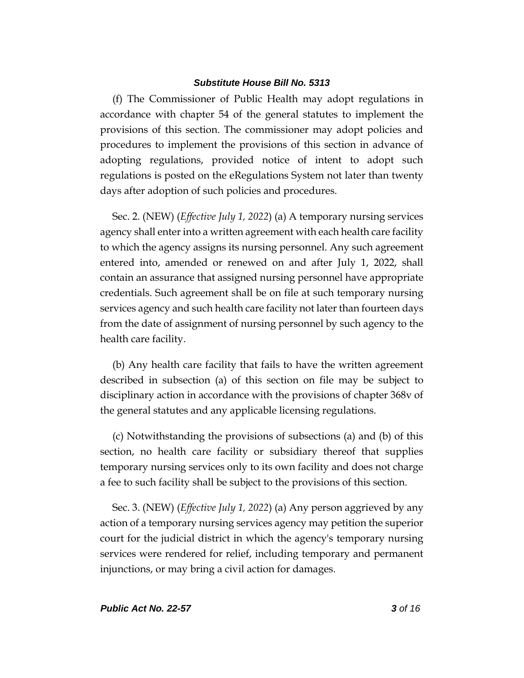(f) The Commissioner of Public Health may adopt regulations in accordance with chapter 54 of the general statutes to implement the provisions of this section. The commissioner may adopt policies and procedures to implement the provisions of this section in advance of adopting regulations, provided notice of intent to adopt such regulations is posted on the eRegulations System not later than twenty days after adoption of such policies and procedures.

Sec. 2. (NEW) (*Effective July 1, 2022*) (a) A temporary nursing services agency shall enter into a written agreement with each health care facility to which the agency assigns its nursing personnel. Any such agreement entered into, amended or renewed on and after July 1, 2022, shall contain an assurance that assigned nursing personnel have appropriate credentials. Such agreement shall be on file at such temporary nursing services agency and such health care facility not later than fourteen days from the date of assignment of nursing personnel by such agency to the health care facility.

(b) Any health care facility that fails to have the written agreement described in subsection (a) of this section on file may be subject to disciplinary action in accordance with the provisions of chapter 368v of the general statutes and any applicable licensing regulations.

(c) Notwithstanding the provisions of subsections (a) and (b) of this section, no health care facility or subsidiary thereof that supplies temporary nursing services only to its own facility and does not charge a fee to such facility shall be subject to the provisions of this section.

Sec. 3. (NEW) (*Effective July 1, 2022*) (a) Any person aggrieved by any action of a temporary nursing services agency may petition the superior court for the judicial district in which the agency's temporary nursing services were rendered for relief, including temporary and permanent injunctions, or may bring a civil action for damages.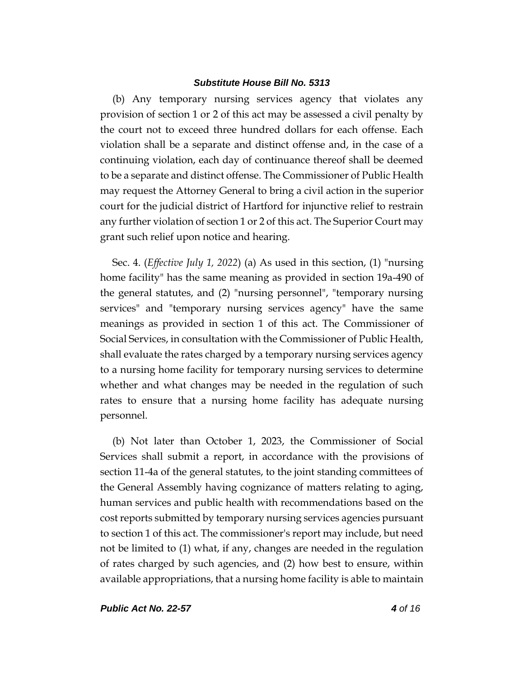(b) Any temporary nursing services agency that violates any provision of section 1 or 2 of this act may be assessed a civil penalty by the court not to exceed three hundred dollars for each offense. Each violation shall be a separate and distinct offense and, in the case of a continuing violation, each day of continuance thereof shall be deemed to be a separate and distinct offense. The Commissioner of Public Health may request the Attorney General to bring a civil action in the superior court for the judicial district of Hartford for injunctive relief to restrain any further violation of section 1 or 2 of this act. The Superior Court may grant such relief upon notice and hearing.

Sec. 4. (*Effective July 1, 2022*) (a) As used in this section, (1) "nursing home facility" has the same meaning as provided in section 19a-490 of the general statutes, and (2) "nursing personnel", "temporary nursing services" and "temporary nursing services agency" have the same meanings as provided in section 1 of this act. The Commissioner of Social Services, in consultation with the Commissioner of Public Health, shall evaluate the rates charged by a temporary nursing services agency to a nursing home facility for temporary nursing services to determine whether and what changes may be needed in the regulation of such rates to ensure that a nursing home facility has adequate nursing personnel.

(b) Not later than October 1, 2023, the Commissioner of Social Services shall submit a report, in accordance with the provisions of section 11-4a of the general statutes, to the joint standing committees of the General Assembly having cognizance of matters relating to aging, human services and public health with recommendations based on the cost reports submitted by temporary nursing services agencies pursuant to section 1 of this act. The commissioner's report may include, but need not be limited to (1) what, if any, changes are needed in the regulation of rates charged by such agencies, and (2) how best to ensure, within available appropriations, that a nursing home facility is able to maintain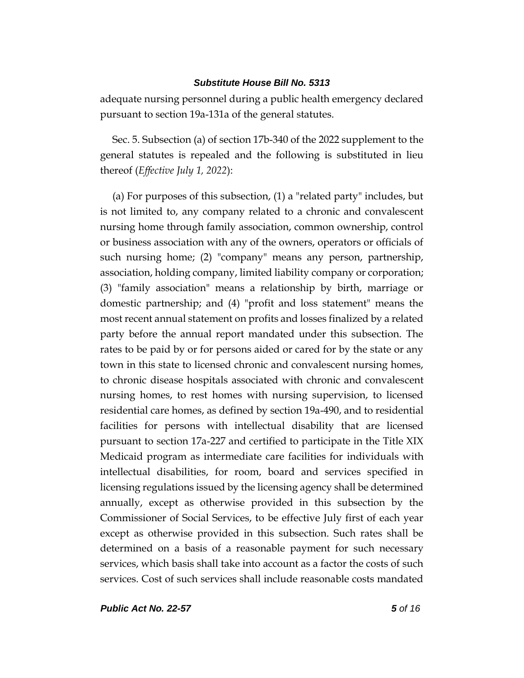adequate nursing personnel during a public health emergency declared pursuant to section 19a-131a of the general statutes.

Sec. 5. Subsection (a) of section 17b-340 of the 2022 supplement to the general statutes is repealed and the following is substituted in lieu thereof (*Effective July 1, 2022*):

(a) For purposes of this subsection, (1) a "related party" includes, but is not limited to, any company related to a chronic and convalescent nursing home through family association, common ownership, control or business association with any of the owners, operators or officials of such nursing home; (2) "company" means any person, partnership, association, holding company, limited liability company or corporation; (3) "family association" means a relationship by birth, marriage or domestic partnership; and (4) "profit and loss statement" means the most recent annual statement on profits and losses finalized by a related party before the annual report mandated under this subsection. The rates to be paid by or for persons aided or cared for by the state or any town in this state to licensed chronic and convalescent nursing homes, to chronic disease hospitals associated with chronic and convalescent nursing homes, to rest homes with nursing supervision, to licensed residential care homes, as defined by section 19a-490, and to residential facilities for persons with intellectual disability that are licensed pursuant to section 17a-227 and certified to participate in the Title XIX Medicaid program as intermediate care facilities for individuals with intellectual disabilities, for room, board and services specified in licensing regulations issued by the licensing agency shall be determined annually, except as otherwise provided in this subsection by the Commissioner of Social Services, to be effective July first of each year except as otherwise provided in this subsection. Such rates shall be determined on a basis of a reasonable payment for such necessary services, which basis shall take into account as a factor the costs of such services. Cost of such services shall include reasonable costs mandated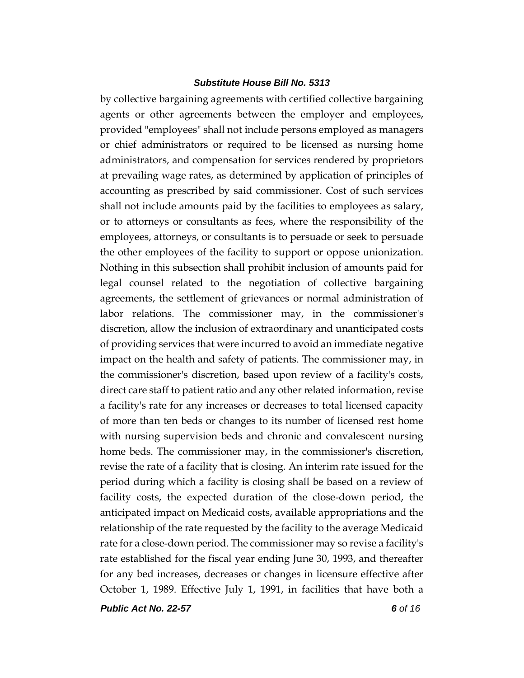by collective bargaining agreements with certified collective bargaining agents or other agreements between the employer and employees, provided "employees" shall not include persons employed as managers or chief administrators or required to be licensed as nursing home administrators, and compensation for services rendered by proprietors at prevailing wage rates, as determined by application of principles of accounting as prescribed by said commissioner. Cost of such services shall not include amounts paid by the facilities to employees as salary, or to attorneys or consultants as fees, where the responsibility of the employees, attorneys, or consultants is to persuade or seek to persuade the other employees of the facility to support or oppose unionization. Nothing in this subsection shall prohibit inclusion of amounts paid for legal counsel related to the negotiation of collective bargaining agreements, the settlement of grievances or normal administration of labor relations. The commissioner may, in the commissioner's discretion, allow the inclusion of extraordinary and unanticipated costs of providing services that were incurred to avoid an immediate negative impact on the health and safety of patients. The commissioner may, in the commissioner's discretion, based upon review of a facility's costs, direct care staff to patient ratio and any other related information, revise a facility's rate for any increases or decreases to total licensed capacity of more than ten beds or changes to its number of licensed rest home with nursing supervision beds and chronic and convalescent nursing home beds. The commissioner may, in the commissioner's discretion, revise the rate of a facility that is closing. An interim rate issued for the period during which a facility is closing shall be based on a review of facility costs, the expected duration of the close-down period, the anticipated impact on Medicaid costs, available appropriations and the relationship of the rate requested by the facility to the average Medicaid rate for a close-down period. The commissioner may so revise a facility's rate established for the fiscal year ending June 30, 1993, and thereafter for any bed increases, decreases or changes in licensure effective after October 1, 1989. Effective July 1, 1991, in facilities that have both a

*Public Act No. 22-57 6 of 16*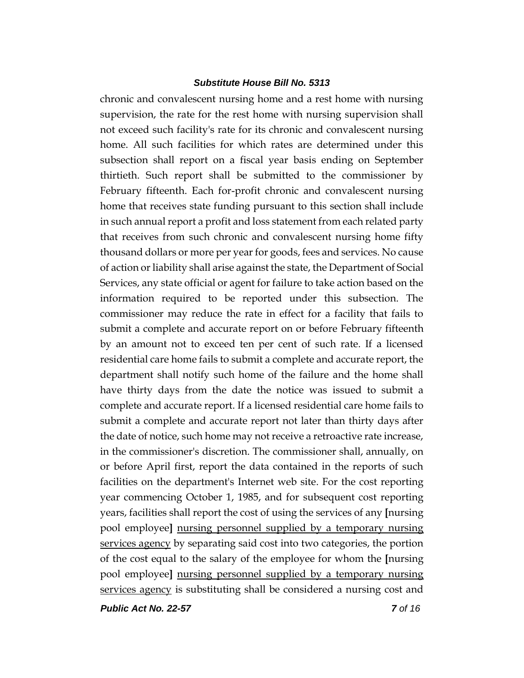chronic and convalescent nursing home and a rest home with nursing supervision, the rate for the rest home with nursing supervision shall not exceed such facility's rate for its chronic and convalescent nursing home. All such facilities for which rates are determined under this subsection shall report on a fiscal year basis ending on September thirtieth. Such report shall be submitted to the commissioner by February fifteenth. Each for-profit chronic and convalescent nursing home that receives state funding pursuant to this section shall include in such annual report a profit and loss statement from each related party that receives from such chronic and convalescent nursing home fifty thousand dollars or more per year for goods, fees and services. No cause of action or liability shall arise against the state, the Department of Social Services, any state official or agent for failure to take action based on the information required to be reported under this subsection. The commissioner may reduce the rate in effect for a facility that fails to submit a complete and accurate report on or before February fifteenth by an amount not to exceed ten per cent of such rate. If a licensed residential care home fails to submit a complete and accurate report, the department shall notify such home of the failure and the home shall have thirty days from the date the notice was issued to submit a complete and accurate report. If a licensed residential care home fails to submit a complete and accurate report not later than thirty days after the date of notice, such home may not receive a retroactive rate increase, in the commissioner's discretion. The commissioner shall, annually, on or before April first, report the data contained in the reports of such facilities on the department's Internet web site. For the cost reporting year commencing October 1, 1985, and for subsequent cost reporting years, facilities shall report the cost of using the services of any **[**nursing pool employee**]** nursing personnel supplied by a temporary nursing services agency by separating said cost into two categories, the portion of the cost equal to the salary of the employee for whom the **[**nursing pool employee**]** nursing personnel supplied by a temporary nursing services agency is substituting shall be considered a nursing cost and

*Public Act No. 22-57 7 of 16*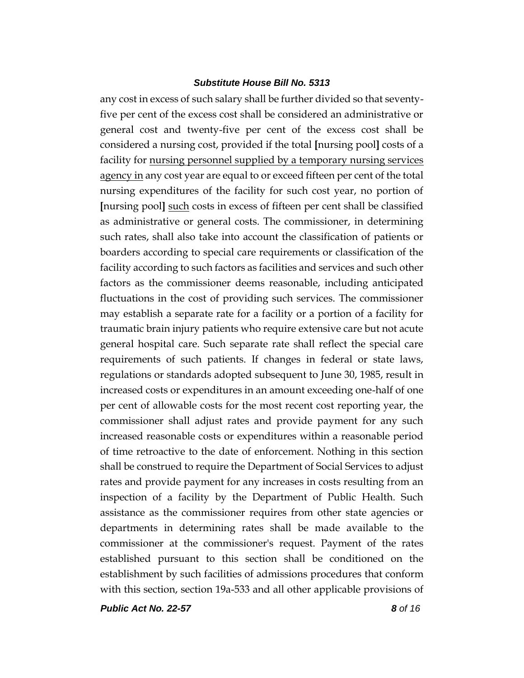any cost in excess of such salary shall be further divided so that seventyfive per cent of the excess cost shall be considered an administrative or general cost and twenty-five per cent of the excess cost shall be considered a nursing cost, provided if the total **[**nursing pool**]** costs of a facility for nursing personnel supplied by a temporary nursing services agency in any cost year are equal to or exceed fifteen per cent of the total nursing expenditures of the facility for such cost year, no portion of **[**nursing pool**]** such costs in excess of fifteen per cent shall be classified as administrative or general costs. The commissioner, in determining such rates, shall also take into account the classification of patients or boarders according to special care requirements or classification of the facility according to such factors as facilities and services and such other factors as the commissioner deems reasonable, including anticipated fluctuations in the cost of providing such services. The commissioner may establish a separate rate for a facility or a portion of a facility for traumatic brain injury patients who require extensive care but not acute general hospital care. Such separate rate shall reflect the special care requirements of such patients. If changes in federal or state laws, regulations or standards adopted subsequent to June 30, 1985, result in increased costs or expenditures in an amount exceeding one-half of one per cent of allowable costs for the most recent cost reporting year, the commissioner shall adjust rates and provide payment for any such increased reasonable costs or expenditures within a reasonable period of time retroactive to the date of enforcement. Nothing in this section shall be construed to require the Department of Social Services to adjust rates and provide payment for any increases in costs resulting from an inspection of a facility by the Department of Public Health. Such assistance as the commissioner requires from other state agencies or departments in determining rates shall be made available to the commissioner at the commissioner's request. Payment of the rates established pursuant to this section shall be conditioned on the establishment by such facilities of admissions procedures that conform with this section, section 19a-533 and all other applicable provisions of

*Public Act No. 22-57 8 of 16*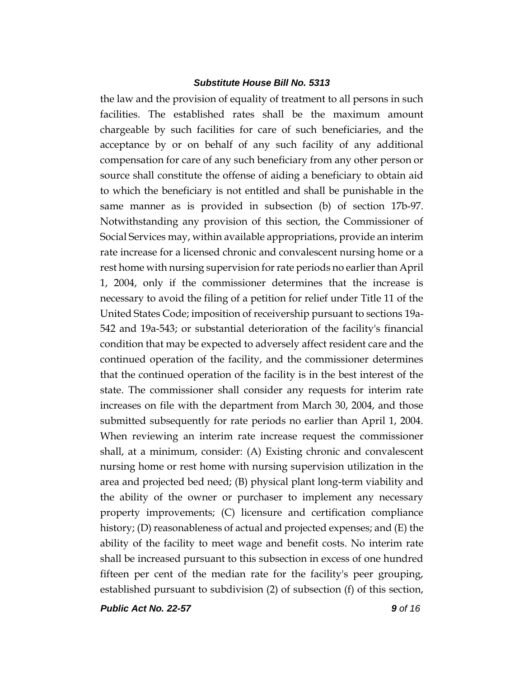the law and the provision of equality of treatment to all persons in such facilities. The established rates shall be the maximum amount chargeable by such facilities for care of such beneficiaries, and the acceptance by or on behalf of any such facility of any additional compensation for care of any such beneficiary from any other person or source shall constitute the offense of aiding a beneficiary to obtain aid to which the beneficiary is not entitled and shall be punishable in the same manner as is provided in subsection (b) of section 17b-97. Notwithstanding any provision of this section, the Commissioner of Social Services may, within available appropriations, provide an interim rate increase for a licensed chronic and convalescent nursing home or a rest home with nursing supervision for rate periods no earlier than April 1, 2004, only if the commissioner determines that the increase is necessary to avoid the filing of a petition for relief under Title 11 of the United States Code; imposition of receivership pursuant to sections 19a-542 and 19a-543; or substantial deterioration of the facility's financial condition that may be expected to adversely affect resident care and the continued operation of the facility, and the commissioner determines that the continued operation of the facility is in the best interest of the state. The commissioner shall consider any requests for interim rate increases on file with the department from March 30, 2004, and those submitted subsequently for rate periods no earlier than April 1, 2004. When reviewing an interim rate increase request the commissioner shall, at a minimum, consider: (A) Existing chronic and convalescent nursing home or rest home with nursing supervision utilization in the area and projected bed need; (B) physical plant long-term viability and the ability of the owner or purchaser to implement any necessary property improvements; (C) licensure and certification compliance history; (D) reasonableness of actual and projected expenses; and (E) the ability of the facility to meet wage and benefit costs. No interim rate shall be increased pursuant to this subsection in excess of one hundred fifteen per cent of the median rate for the facility's peer grouping, established pursuant to subdivision (2) of subsection (f) of this section,

*Public Act No. 22-57 9 of 16*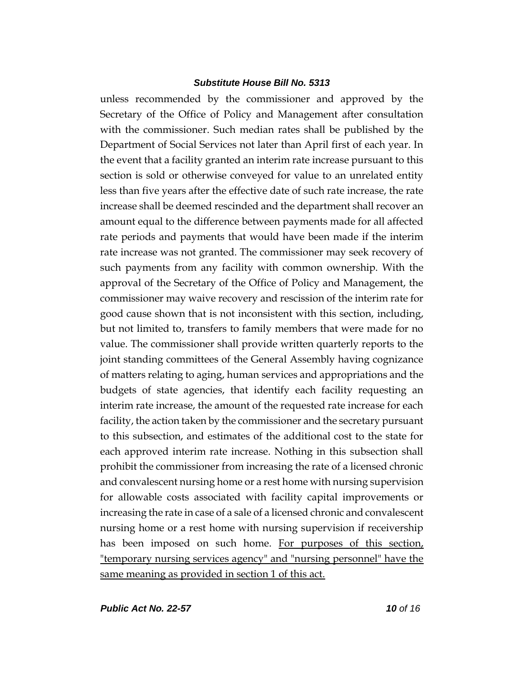unless recommended by the commissioner and approved by the Secretary of the Office of Policy and Management after consultation with the commissioner. Such median rates shall be published by the Department of Social Services not later than April first of each year. In the event that a facility granted an interim rate increase pursuant to this section is sold or otherwise conveyed for value to an unrelated entity less than five years after the effective date of such rate increase, the rate increase shall be deemed rescinded and the department shall recover an amount equal to the difference between payments made for all affected rate periods and payments that would have been made if the interim rate increase was not granted. The commissioner may seek recovery of such payments from any facility with common ownership. With the approval of the Secretary of the Office of Policy and Management, the commissioner may waive recovery and rescission of the interim rate for good cause shown that is not inconsistent with this section, including, but not limited to, transfers to family members that were made for no value. The commissioner shall provide written quarterly reports to the joint standing committees of the General Assembly having cognizance of matters relating to aging, human services and appropriations and the budgets of state agencies, that identify each facility requesting an interim rate increase, the amount of the requested rate increase for each facility, the action taken by the commissioner and the secretary pursuant to this subsection, and estimates of the additional cost to the state for each approved interim rate increase. Nothing in this subsection shall prohibit the commissioner from increasing the rate of a licensed chronic and convalescent nursing home or a rest home with nursing supervision for allowable costs associated with facility capital improvements or increasing the rate in case of a sale of a licensed chronic and convalescent nursing home or a rest home with nursing supervision if receivership has been imposed on such home. For purposes of this section, "temporary nursing services agency" and "nursing personnel" have the same meaning as provided in section 1 of this act.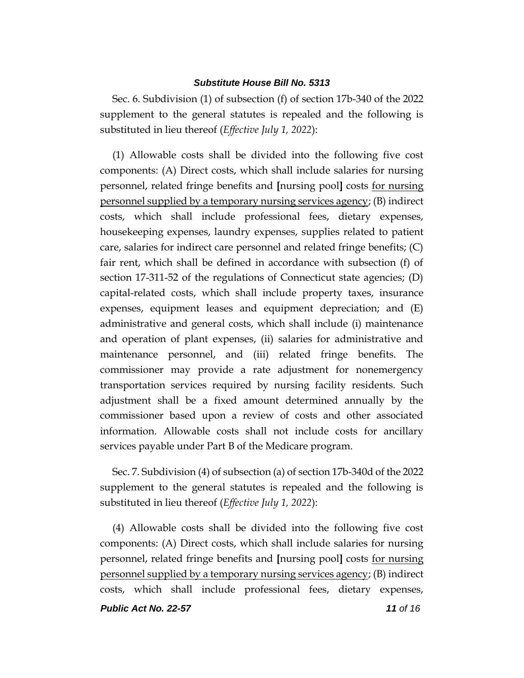Sec. 6. Subdivision (1) of subsection (f) of section 17b-340 of the 2022 supplement to the general statutes is repealed and the following is substituted in lieu thereof (*Effective July 1, 2022*):

(1) Allowable costs shall be divided into the following five cost components: (A) Direct costs, which shall include salaries for nursing personnel, related fringe benefits and **[**nursing pool**]** costs for nursing personnel supplied by a temporary nursing services agency; (B) indirect costs, which shall include professional fees, dietary expenses, housekeeping expenses, laundry expenses, supplies related to patient care, salaries for indirect care personnel and related fringe benefits; (C) fair rent, which shall be defined in accordance with subsection (f) of section 17-311-52 of the regulations of Connecticut state agencies; (D) capital-related costs, which shall include property taxes, insurance expenses, equipment leases and equipment depreciation; and (E) administrative and general costs, which shall include (i) maintenance and operation of plant expenses, (ii) salaries for administrative and maintenance personnel, and (iii) related fringe benefits. The commissioner may provide a rate adjustment for nonemergency transportation services required by nursing facility residents. Such adjustment shall be a fixed amount determined annually by the commissioner based upon a review of costs and other associated information. Allowable costs shall not include costs for ancillary services payable under Part B of the Medicare program.

Sec. 7. Subdivision (4) of subsection (a) of section 17b-340d of the 2022 supplement to the general statutes is repealed and the following is substituted in lieu thereof (*Effective July 1, 2022*):

*Public Act No. 22-57 11 of 16* (4) Allowable costs shall be divided into the following five cost components: (A) Direct costs, which shall include salaries for nursing personnel, related fringe benefits and **[**nursing pool**]** costs for nursing personnel supplied by a temporary nursing services agency; (B) indirect costs, which shall include professional fees, dietary expenses,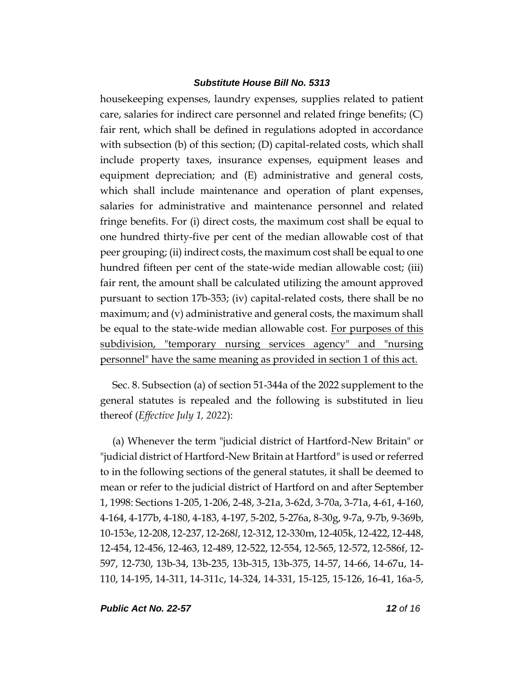housekeeping expenses, laundry expenses, supplies related to patient care, salaries for indirect care personnel and related fringe benefits; (C) fair rent, which shall be defined in regulations adopted in accordance with subsection (b) of this section; (D) capital-related costs, which shall include property taxes, insurance expenses, equipment leases and equipment depreciation; and (E) administrative and general costs, which shall include maintenance and operation of plant expenses, salaries for administrative and maintenance personnel and related fringe benefits. For (i) direct costs, the maximum cost shall be equal to one hundred thirty-five per cent of the median allowable cost of that peer grouping; (ii) indirect costs, the maximum cost shall be equal to one hundred fifteen per cent of the state-wide median allowable cost; (iii) fair rent, the amount shall be calculated utilizing the amount approved pursuant to section 17b-353; (iv) capital-related costs, there shall be no maximum; and (v) administrative and general costs, the maximum shall be equal to the state-wide median allowable cost. For purposes of this subdivision, "temporary nursing services agency" and "nursing personnel" have the same meaning as provided in section 1 of this act.

Sec. 8. Subsection (a) of section 51-344a of the 2022 supplement to the general statutes is repealed and the following is substituted in lieu thereof (*Effective July 1, 2022*):

(a) Whenever the term "judicial district of Hartford-New Britain" or "judicial district of Hartford-New Britain at Hartford" is used or referred to in the following sections of the general statutes, it shall be deemed to mean or refer to the judicial district of Hartford on and after September 1, 1998: Sections 1-205, 1-206, 2-48, 3-21a, 3-62d, 3-70a, 3-71a, 4-61, 4-160, 4-164, 4-177b, 4-180, 4-183, 4-197, 5-202, 5-276a, 8-30g, 9-7a, 9-7b, 9-369b, 10-153e, 12-208, 12-237, 12-268*l*, 12-312, 12-330m, 12-405k, 12-422, 12-448, 12-454, 12-456, 12-463, 12-489, 12-522, 12-554, 12-565, 12-572, 12-586f, 12- 597, 12-730, 13b-34, 13b-235, 13b-315, 13b-375, 14-57, 14-66, 14-67u, 14- 110, 14-195, 14-311, 14-311c, 14-324, 14-331, 15-125, 15-126, 16-41, 16a-5,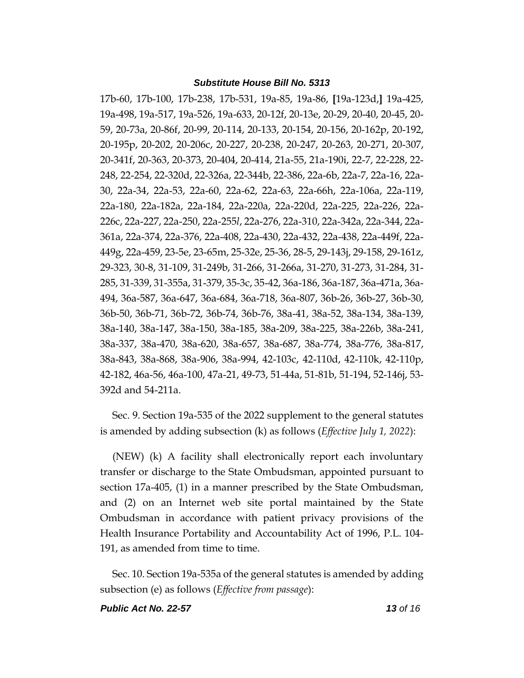17b-60, 17b-100, 17b-238, 17b-531, 19a-85, 19a-86, **[**19a-123d,**]** 19a-425, 19a-498, 19a-517, 19a-526, 19a-633, 20-12f, 20-13e, 20-29, 20-40, 20-45, 20- 59, 20-73a, 20-86f, 20-99, 20-114, 20-133, 20-154, 20-156, 20-162p, 20-192, 20-195p, 20-202, 20-206c, 20-227, 20-238, 20-247, 20-263, 20-271, 20-307, 20-341f, 20-363, 20-373, 20-404, 20-414, 21a-55, 21a-190i, 22-7, 22-228, 22- 248, 22-254, 22-320d, 22-326a, 22-344b, 22-386, 22a-6b, 22a-7, 22a-16, 22a-30, 22a-34, 22a-53, 22a-60, 22a-62, 22a-63, 22a-66h, 22a-106a, 22a-119, 22a-180, 22a-182a, 22a-184, 22a-220a, 22a-220d, 22a-225, 22a-226, 22a-226c, 22a-227, 22a-250, 22a-255*l*, 22a-276, 22a-310, 22a-342a, 22a-344, 22a-361a, 22a-374, 22a-376, 22a-408, 22a-430, 22a-432, 22a-438, 22a-449f, 22a-449g, 22a-459, 23-5e, 23-65m, 25-32e, 25-36, 28-5, 29-143j, 29-158, 29-161z, 29-323, 30-8, 31-109, 31-249b, 31-266, 31-266a, 31-270, 31-273, 31-284, 31- 285, 31-339, 31-355a, 31-379, 35-3c, 35-42, 36a-186, 36a-187, 36a-471a, 36a-494, 36a-587, 36a-647, 36a-684, 36a-718, 36a-807, 36b-26, 36b-27, 36b-30, 36b-50, 36b-71, 36b-72, 36b-74, 36b-76, 38a-41, 38a-52, 38a-134, 38a-139, 38a-140, 38a-147, 38a-150, 38a-185, 38a-209, 38a-225, 38a-226b, 38a-241, 38a-337, 38a-470, 38a-620, 38a-657, 38a-687, 38a-774, 38a-776, 38a-817, 38a-843, 38a-868, 38a-906, 38a-994, 42-103c, 42-110d, 42-110k, 42-110p, 42-182, 46a-56, 46a-100, 47a-21, 49-73, 51-44a, 51-81b, 51-194, 52-146j, 53- 392d and 54-211a.

Sec. 9. Section 19a-535 of the 2022 supplement to the general statutes is amended by adding subsection (k) as follows (*Effective July 1, 2022*):

(NEW) (k) A facility shall electronically report each involuntary transfer or discharge to the State Ombudsman, appointed pursuant to section 17a-405, (1) in a manner prescribed by the State Ombudsman, and (2) on an Internet web site portal maintained by the State Ombudsman in accordance with patient privacy provisions of the Health Insurance Portability and Accountability Act of 1996, P.L. 104- 191, as amended from time to time.

Sec. 10. Section 19a-535a of the general statutes is amended by adding subsection (e) as follows (*Effective from passage*):

*Public Act No. 22-57 13 of 16*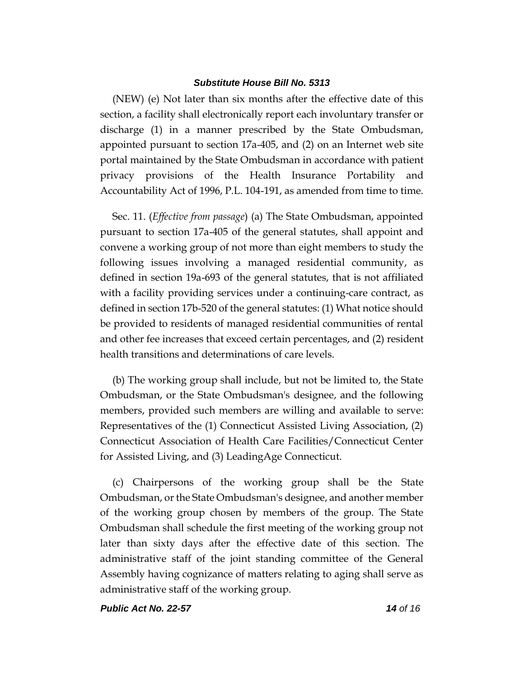(NEW) (e) Not later than six months after the effective date of this section, a facility shall electronically report each involuntary transfer or discharge (1) in a manner prescribed by the State Ombudsman, appointed pursuant to section 17a-405, and (2) on an Internet web site portal maintained by the State Ombudsman in accordance with patient privacy provisions of the Health Insurance Portability and Accountability Act of 1996, P.L. 104-191, as amended from time to time.

Sec. 11. (*Effective from passage*) (a) The State Ombudsman, appointed pursuant to section 17a-405 of the general statutes, shall appoint and convene a working group of not more than eight members to study the following issues involving a managed residential community, as defined in section 19a-693 of the general statutes, that is not affiliated with a facility providing services under a continuing-care contract, as defined in section 17b-520 of the general statutes: (1) What notice should be provided to residents of managed residential communities of rental and other fee increases that exceed certain percentages, and (2) resident health transitions and determinations of care levels.

(b) The working group shall include, but not be limited to, the State Ombudsman, or the State Ombudsman's designee, and the following members, provided such members are willing and available to serve: Representatives of the (1) Connecticut Assisted Living Association, (2) Connecticut Association of Health Care Facilities/Connecticut Center for Assisted Living, and (3) LeadingAge Connecticut.

(c) Chairpersons of the working group shall be the State Ombudsman, or the State Ombudsman's designee, and another member of the working group chosen by members of the group. The State Ombudsman shall schedule the first meeting of the working group not later than sixty days after the effective date of this section. The administrative staff of the joint standing committee of the General Assembly having cognizance of matters relating to aging shall serve as administrative staff of the working group.

*Public Act No. 22-57 14 of 16*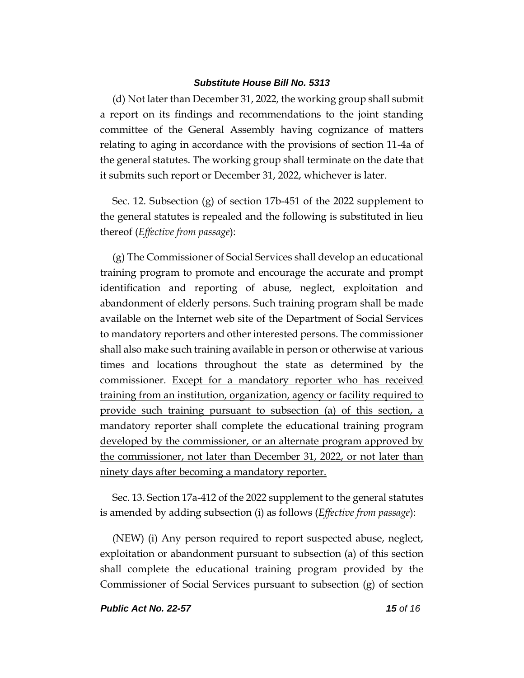(d) Not later than December 31, 2022, the working group shall submit a report on its findings and recommendations to the joint standing committee of the General Assembly having cognizance of matters relating to aging in accordance with the provisions of section 11-4a of the general statutes. The working group shall terminate on the date that it submits such report or December 31, 2022, whichever is later.

Sec. 12. Subsection (g) of section 17b-451 of the 2022 supplement to the general statutes is repealed and the following is substituted in lieu thereof (*Effective from passage*):

(g) The Commissioner of Social Services shall develop an educational training program to promote and encourage the accurate and prompt identification and reporting of abuse, neglect, exploitation and abandonment of elderly persons. Such training program shall be made available on the Internet web site of the Department of Social Services to mandatory reporters and other interested persons. The commissioner shall also make such training available in person or otherwise at various times and locations throughout the state as determined by the commissioner. Except for a mandatory reporter who has received training from an institution, organization, agency or facility required to provide such training pursuant to subsection (a) of this section, a mandatory reporter shall complete the educational training program developed by the commissioner, or an alternate program approved by the commissioner, not later than December 31, 2022, or not later than ninety days after becoming a mandatory reporter.

Sec. 13. Section 17a-412 of the 2022 supplement to the general statutes is amended by adding subsection (i) as follows (*Effective from passage*):

(NEW) (i) Any person required to report suspected abuse, neglect, exploitation or abandonment pursuant to subsection (a) of this section shall complete the educational training program provided by the Commissioner of Social Services pursuant to subsection (g) of section